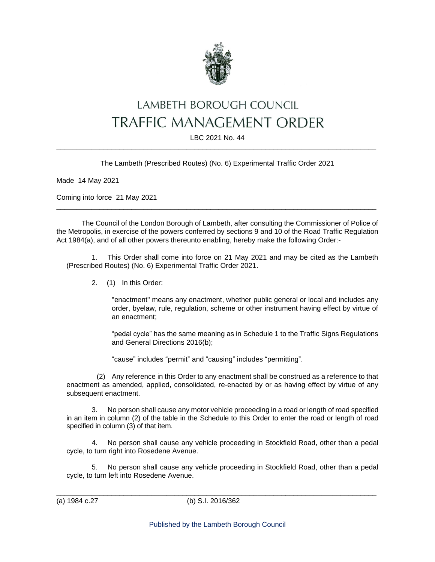

## LAMBETH BOROUGH COUNCIL TRAFFIC MANAGEMENT ORDER

## LBC 2021 No. 44 \_\_\_\_\_\_\_\_\_\_\_\_\_\_\_\_\_\_\_\_\_\_\_\_\_\_\_\_\_\_\_\_\_\_\_\_\_\_\_\_\_\_\_\_\_\_\_\_\_\_\_\_\_\_\_\_\_\_\_\_\_\_\_\_\_\_\_\_\_\_\_\_\_\_\_\_\_\_\_\_\_

The Lambeth (Prescribed Routes) (No. 6) Experimental Traffic Order 2021

Made 14 May 2021

Coming into force 21 May 2021

The Council of the London Borough of Lambeth, after consulting the Commissioner of Police of the Metropolis, in exercise of the powers conferred by sections 9 and 10 of the Road Traffic Regulation Act 1984(a), and of all other powers thereunto enabling, hereby make the following Order:-

\_\_\_\_\_\_\_\_\_\_\_\_\_\_\_\_\_\_\_\_\_\_\_\_\_\_\_\_\_\_\_\_\_\_\_\_\_\_\_\_\_\_\_\_\_\_\_\_\_\_\_\_\_\_\_\_\_\_\_\_\_\_\_\_\_\_\_\_\_\_\_\_\_\_\_\_\_\_\_\_\_

1. This Order shall come into force on 21 May 2021 and may be cited as the Lambeth (Prescribed Routes) (No. 6) Experimental Traffic Order 2021.

2. (1) In this Order:

"enactment" means any enactment, whether public general or local and includes any order, byelaw, rule, regulation, scheme or other instrument having effect by virtue of an enactment;

"pedal cycle" has the same meaning as in Schedule 1 to the Traffic Signs Regulations and General Directions 2016(b);

"cause" includes "permit" and "causing" includes "permitting".

(2) Any reference in this Order to any enactment shall be construed as a reference to that enactment as amended, applied, consolidated, re-enacted by or as having effect by virtue of any subsequent enactment.

3. No person shall cause any motor vehicle proceeding in a road or length of road specified in an item in column (2) of the table in the Schedule to this Order to enter the road or length of road specified in column (3) of that item.

4. No person shall cause any vehicle proceeding in Stockfield Road, other than a pedal cycle, to turn right into Rosedene Avenue.

5. No person shall cause any vehicle proceeding in Stockfield Road, other than a pedal cycle, to turn left into Rosedene Avenue.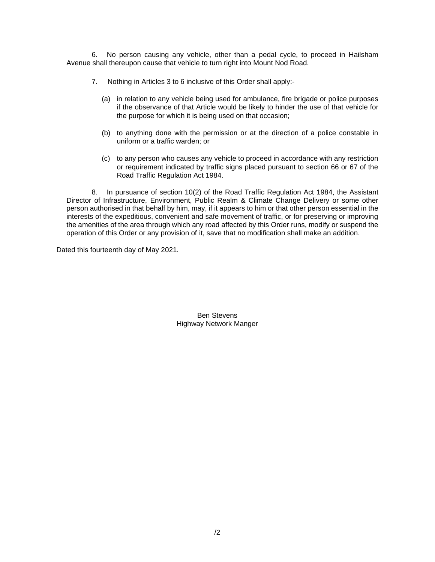6. No person causing any vehicle, other than a pedal cycle, to proceed in Hailsham Avenue shall thereupon cause that vehicle to turn right into Mount Nod Road.

- 7. Nothing in Articles 3 to 6 inclusive of this Order shall apply:-
	- (a) in relation to any vehicle being used for ambulance, fire brigade or police purposes if the observance of that Article would be likely to hinder the use of that vehicle for the purpose for which it is being used on that occasion;
	- (b) to anything done with the permission or at the direction of a police constable in uniform or a traffic warden; or
	- (c) to any person who causes any vehicle to proceed in accordance with any restriction or requirement indicated by traffic signs placed pursuant to section 66 or 67 of the Road Traffic Regulation Act 1984.

8. In pursuance of section 10(2) of the Road Traffic Regulation Act 1984, the Assistant Director of Infrastructure, Environment, Public Realm & Climate Change Delivery or some other person authorised in that behalf by him, may, if it appears to him or that other person essential in the interests of the expeditious, convenient and safe movement of traffic, or for preserving or improving the amenities of the area through which any road affected by this Order runs, modify or suspend the operation of this Order or any provision of it, save that no modification shall make an addition.

Dated this fourteenth day of May 2021.

Ben Stevens Highway Network Manger